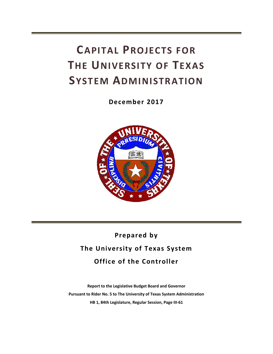# **CAPITAL PROJECTS FOR THE UNIVERSITY OF TEXAS SYSTEM ADMINISTRATION**

**December 2017** 



## **Prepared by The University of Texas System Office of the Controller**

**Report to the Legislative Budget Board and Governor Pursuant to Rider No. 5 to The University of Texas System Administration HB 1, 84th Legislature, Regular Session, Page III‐61**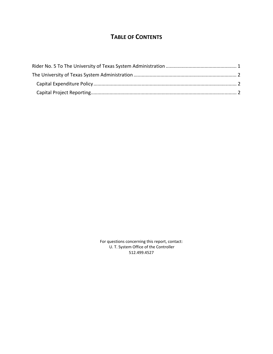### **TABLE OF CONTENTS**

For questions concerning this report, contact: U. T. System Office of the Controller 512.499.4527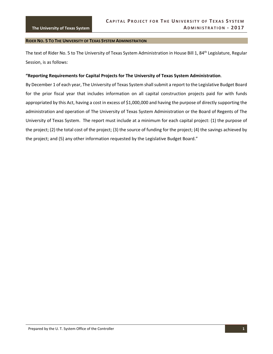#### **RIDER NO. 5 TO THE UNIVERSITY OF TEXAS SYSTEM ADMINISTRATION**

The text of Rider No. 5 to The University of Texas System Administration in House Bill 1, 84<sup>th</sup> Legislature, Regular Session, is as follows:

#### **"Reporting Requirements for Capital Projects for The University of Texas System Administration**.

By December 1 of each year, The University of Texas System shall submit a report to the Legislative Budget Board for the prior fiscal year that includes information on all capital construction projects paid for with funds appropriated by this Act, having a cost in excess of \$1,000,000 and having the purpose of directly supporting the administration and operation of The University of Texas System Administration or the Board of Regents of The University of Texas System. The report must include at a minimum for each capital project: (1) the purpose of the project; (2) the total cost of the project; (3) the source of funding for the project; (4) the savings achieved by the project; and (5) any other information requested by the Legislative Budget Board."